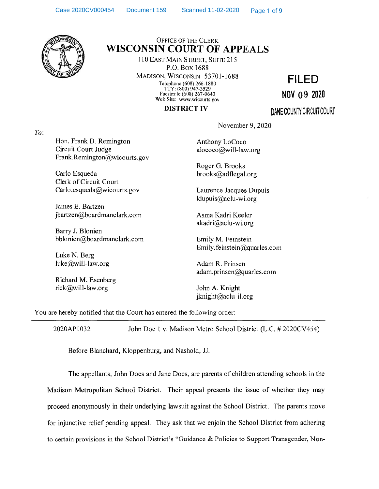

## Office of the Clerk WISCONSIN COURT OF APPEALS

110 East Main Street, Suite 215 P.O.Box 1688 Madison, Wisconsin 53701-1688 Telephone (608) 266-1880 TTY: (800) 947-3529 Facsimile (608) 267-0640 Web Site: [www.wicourts.gov](http://www.wicourts.gov)

**FILED**

**NOV 0 9 2020**

## **DISTRICT IV**

**DANE COUNTY CIRCUIT COURT** 

*To:*

Hon. Frank D. Remington Circuit Court Judge [Frank.Remington@wicourts.gov](mailto:Frank.Remington@wicourts.gov)

Carlo Esqueda [brooks@adflegal.org](mailto:brooks@adflegal.org) Clerk of Circuit Court [Carlo.esqueda@wicourts.gov](mailto:Carlo.esqueda@wicourts.gov) Laurence Jacques Dupuis

James E. Bartzen [jbartzen@boardmanclark.com](mailto:jbartzen@boardmanclark.com) Asma Kadri Keeler

Barry J. Blonien [bblonien@boardmanclark.com](mailto:bblonien@boardmanclark.com) Emily M. Feinstein

Luke N. Berg [luke@will-law.org](mailto:luke@will-law.org) Adam R. Prinsen

Richard M. Esenberg [rick@will-law.org](mailto:rick@will-law.org) John A. Knight

Anthony LoCoco

November 9, 2020

[alococo@will-law.org](mailto:alococo@will-law.org)

Roger G. Brooks

[ldupuis@aclu-wi.org](mailto:ldupuis@aclu-wi.org)

[akadri@aclu-wi.org](mailto:akadri@aclu-wi.org)

[Emily.feinstein@quarles.com](mailto:Emily.feinstein@quarles.com)

[adam.prinsen@quarles.com](mailto:adam.prinsen@quarles.com)

[jknight@aclu-il.org](mailto:jknight@aclu-il.org)

You are hereby notified that the Court has entered the following order:

2020AP1032 John Doe <sup>1</sup> v. Madison Metro School District (L.C. # 2020CV454)

Before Blanchard, Kloppenburg, and Nashold, JJ.

The appellants, John Does and Jane Does, are parents of children attending schools in the Madison Metropolitan School District. Their appeal presents the issue of whether they may proceed anonymously in their underlying lawsuit against the School District. The parents move for injunctive relief pending appeal. They ask that we enjoin the School District from adhering to certain provisions in the School District's "Guidance & Policies to Support Transgender, Non-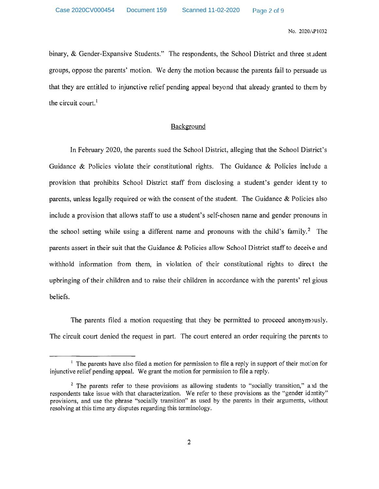No. 2020AP1032

binary, & Gender-Expansive Students." The respondents, the School District and three student groups, oppose the parents' motion. We deny the motion because the parents fail to persuade us that they are entitled to injunctive relief pending appeal beyond that already granted to them by **i** the circuit court.

## Background

In February 2020, the parents sued the School District, alleging that the School District's Guidance & Policies violate their constitutional rights. The Guidance & Policies include <sup>a</sup> provision that prohibits School District staff from disclosing <sup>a</sup> student's gender identty to parents, unless legally required or with the consent ofthe student. The Guidance & Policies also include <sup>a</sup> provision that allows staff to use <sup>a</sup> student's self-chosen name and gender pronouns in the school setting while using a different name and pronouns with the child's family.<sup>2</sup> The parents assert in their suit that the Guidance  $\&$  Policies allow School District staff to deceive and withhold information from them, in violation of their constitutional rights to direct the upbringing of their children and to raise their children in accordance with the parents' relgious beliefs.

The parents filed a motion requesting that they be permitted to proceed anonymously. The circuit court denied the request in part. The court entered an order requiring the parents to

<sup>&</sup>lt;sup>1</sup> The parents have also filed a motion for permission to file a reply in support of their motion for injunctive relief pending appeal. We grant the motion for permission to file a reply.

 $2$  The parents refer to these provisions as allowing students to "socially transition," and the respondents take issue with that characterization. We refer to these provisions as the "gender identity" provisions, and use the phrase "socially transition" as used by the parents in their arguments, without resolving at this time any disputes regarding this terminology.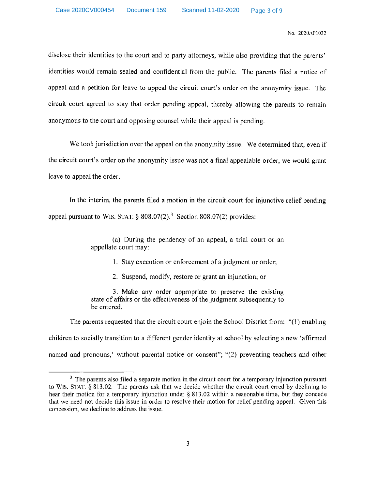No. 2020/AP1032

disclose their identities to the court and to party attorneys, while also providing that the parents' identities would remain sealed and confidential from the public. The parents filed <sup>a</sup> notice of appeal and <sup>a</sup> petition for leave to appeal the circuit court's order on the anonymity issue. The circuit court agreed to stay that order pending appeal, thereby allowing the parents to remain anonymous to the court and opposing counsel while their appeal is pending.

We took jurisdiction over the appeal on the anonymity issue. We determined that, even if the circuit court's order on the anonymity issue was not <sup>a</sup> final appealable order, we would grant leave to appeal the order.

In the interim, the parents filed a motion in the circuit court for injunctive relief pending appeal pursuant to WIS. STAT.  $\S$  808.07(2).<sup>3</sup> Section 808.07(2) provides:

> (a) During the pendency of an appeal, <sup>a</sup> trial court or an appellate court may:

> > 1. Stay execution or enforcement of <sup>a</sup> judgment or order;

2. Suspend, modify, restore or grant an injunction; or

3. Make any order appropriate to preserve the existing state of affairs or the effectiveness of the judgment subsequently to be entered.

The parents requested that the circuit court enjoin the School District from: "(1) enabling children to socially transition to <sup>a</sup> different gender identity at school by selecting <sup>a</sup> new 'affirmed named and pronouns,' without parental notice or consent"; "(2) preventing teachers and other

 $3\text{ The parents also filed a separate motion in the circuit court for a temporary injection pursued.}$ to WlS. STAT. § 813.02. The parents ask that we decide whether the circuit court erred by declining to hear their motion for a temporary injunction under § 813.02 within a reasonable time, but they concede that we need not decide this issue in order to resolve their motion for relief pending appeal. Given this concession, we decline to address the issue.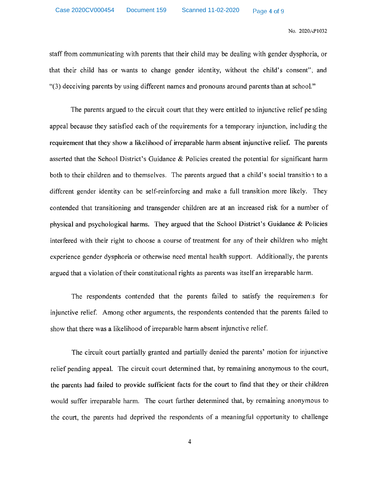No. 2020AP1032

staff from communicating with parents that their child may be dealing with gender dysphoria, or that their child has or wants to change gender identity, without the child's consent", and "(3) deceiving parents by using different names and pronouns around parents than at school."

The parents argued to the circuit court that they were entitled to injunctive relief pending appeal because they satisfied each of the requirements for a temporary injunction, including the requirement that they show a likelihood of irreparable harm absent injunctive relief. The parents asserted that the School District's Guidance & Policies created the potential for significant harm both to their children and to themselves. The parents argued that <sup>a</sup> child's social transition to <sup>a</sup> different gender identity can be self-reinforcing and make a full transition more likely. They contended that transitioning and transgender children are at an increased risk for <sup>a</sup> number of physical and psychological harms. They argued that the School District's Guidance & Policies interfered with their right to choose a course of treatment for any of their children who might experience gender dysphoria or otherwise need mental health support. Additionally, the parents argued that a violation of their constitutional rights as parents was itself an irreparable harm.

The respondents contended that the parents failed to satisfy the requirements for injunctive relief. Among other arguments, the respondents contended that the parents failed to show that there was <sup>a</sup> likelihood of irreparable harm absent injunctive relief.

The circuit court partially granted and partially denied the parents' motion for injunctive relief pending appeal. The circuit court determined that, by remaining anonymous to the court, the parents had failed to provide sufficient facts for the court to find that they or their children would suffer irreparable harm. The court further determined that, by remaining anonymous to the court, the parents had deprived the respondents of <sup>a</sup> meaningful opportunity to challenge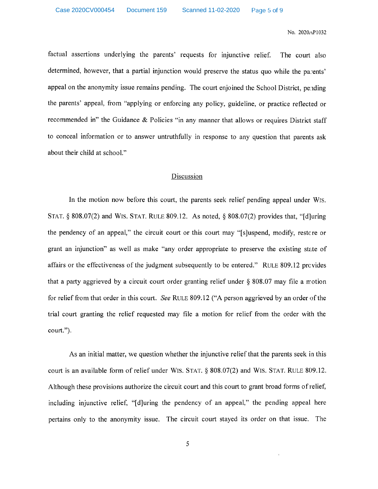No. 2020aP1032

factual assertions underlying the parents' requests for injunctive relief, determined, however, that a partial injunction would preserve the status quo while the parents' appeal on the anonymity issue remains pending. The court enjoined the School District, pending the parents' appeal, from "applying or enforcing any policy, guideline, or practice reflected or recommended in" the Guidance & Policies "in any manner that allows or requires District staff to conceal information or to answer untruthfully in response to any question that parents ask The court also about their child at school."

## Discussion

In the motion now before this court, the parents seek relief pending appeal under WlS. STAT. § 808.07(2) and WIS. STAT. RULE 809.12. As noted, § 808.07(2) provides that, "[d]uring the pendency of an appeal," the circuit court or this court may "[sjuspend, modify, restcre or grant an injunction" as well as make "any order appropriate to preserve the existing state of affairs or the effectiveness of the judgment subsequently to be entered." RULE 809.12 provides that a party aggrieved by a circuit court order granting relief under  $\S$  808.07 may file a motion for relief from that order in this court. *See* RULE 809.12 ("A person aggrieved by an order ofthe trial court granting the relief requested may file a motion for relief from the order with the court.").

As an initial matter, we question whether the injunctive relief that the parents seek in this court is an available form of relief under WIS. STAT. § 808.07(2) and WIS. STAT. RULE 809.12. Although these provisions authorize the circuit court and this court to grant broad forms ofrelief, including injunctive relief, "[djuring the pendency of an appeal," the pending appeal here pertains only to the anonymity issue. The circuit court stayed its order on that issue. The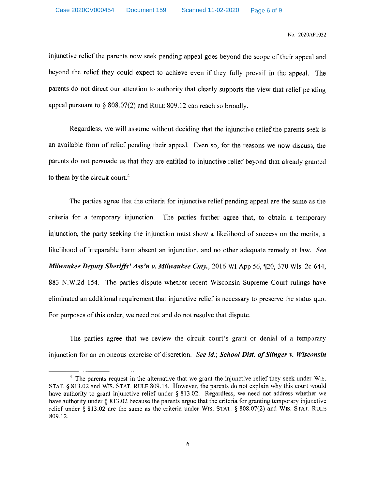No. 2020,\P1032

injunctive relief the parents now seek pending appeal goes beyond the scope of their appeal and beyond the relief they could expect to achieve even if they fully prevail in the appeal. The parents do not direct our attention to authority that clearly supports the view that relief pending appeal pursuant to § 808.07(2) and Rule 809.12 can reach so broadly.

Regardless, we will assume without deciding that the injunctive relief the parents seek is an available form of relief pending their appeal. Even so, for the reasons we now discuss, the parents do not persuade us that they are entitled to injunctive relief beyond that already granted to them by the circuit court.4

The parties agree that the criteria for injunctive relief pending appeal are the same as the criteria for a temporary injunction. The parties further agree that, to obtain a temporary injunction, the party seeking the injunction must show a likelihood of success on the merits, a likelihood of irreparable harm absent an injunction, and no other adequate remedy at law. *See Milwaukee Deputy Sheriffs' Ass'n v. Milwaukee Cnty.,* 2016 WI App 56, ^J20, 370 Wis. 2c 644, 883 N.W.2d 154. The parties dispute whether recent Wisconsin Supreme Court rulings have eliminated an additional requirement that injunctive relief is necessary to preserve the status quo. For purposes of this order, we need not and do not resolve that dispute.

The parties agree that we review the circuit court's grant or denial of a temporary injunction for an erroneous exercise of discretion. *See id.; School Dist. of Slinger v. Wisconsin* 

<sup>&</sup>lt;sup>4</sup> The parents request in the alternative that we grant the injunctive relief they seek under WIS. STAT. § 813.02 and WIS. STAT. RULE 809.14. However, the parents do not explain why this court would have authority to grant injunctive relief under § 813.02. Regardless, we need not address whether we have authority under § 813.02 because the parents argue that the criteria for granting temporary injunctive relief under § 813.02 are the same as the criteria under WIS. STAT. § 808.07(2) and WIS. STAT. RULE 809.12.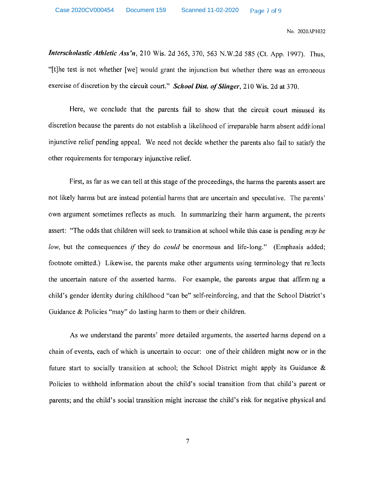No. 2020 AP1032

*Interscholastic Athletic Ass'n,* 210 Wis. 2d 365, 370, 563 N.W.2d 585 (Ct. App. 1997). Thus, "[t]he test is not whether [we] would grant the injunction but whether there was an erroneous exercise of discretion by the circuit court." *School Dist. of Slinger*, 210 Wis. 2d at 370.

Here, we conclude that the parents fail to show that the circuit court misused its discretion because the parents do not establish <sup>a</sup> likelihood of irreparable harm absent additional injunctive relief pending appeal. We need not decide whether the parents also fail to satisfy the other requirements for temporary injunctive relief.

First, as far as we can tell at this stage of the proceedings, the harms the parents assert are not likely harms but are instead potential harms that are uncertain and speculative. The parents' own argument sometimes reflects as much. In summarizing their harm argument, the parents assert: "The odds that children will seek to transition at school while this case is pending *may be low*, but the consequences *if* they do *could* be enormous and life-long." (Emphasis added; footnote omitted.) Likewise, the parents make other arguments using terminology that reflects the uncertain nature of the asserted harms. For example, the parents argue that affirm:ng <sup>a</sup> child's gender identity during childhood "can be" self-reinforcing, and that the School District's Guidance & Policies "may" do lasting harm to them or their children.

As we understand the parents' more detailed arguments, the asserted harms depend on a chain of events, each of which is uncertain to occur: one of their children might now or in the future start to socially transition at school; the School District might apply its Guidance  $\&$ Policies to withhold information about the child's social transition from that child's parent or parents; and the child's social transition might increase the child's risk for negative physical and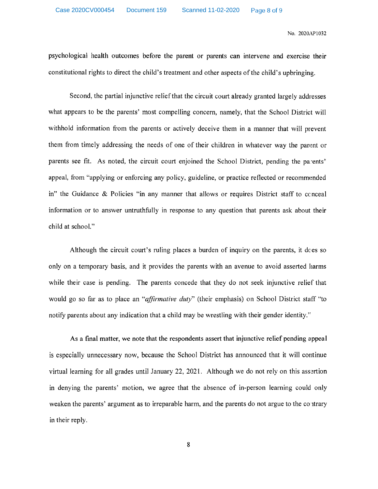No. 2020AP1032

psychological health outcomes before the parent or parents can intervene and exercise their constitutional rights to direct the child's treatment and other aspects ofthe child's upbringing.

Second, the partial injunctive reliefthat the circuit court already granted largely addresses what appears to be the parents' most compelling concern, namely, that the School District will withhold information from the parents or actively deceive them in <sup>a</sup> manner that will prevent them from timely addressing the needs of one of their children in whatever way the parent or parents see fit. As noted, the circuit court enjoined the School District, pending the parents' appeal, from "applying or enforcing any policy, guideline, or practice reflected or recommended in" the Guidance & Policies "in any manner that allows or requires District staff to conceal information or to answer untruthfully in response to any question that parents ask about their child at school."

Although the circuit court's ruling places <sup>a</sup> burden of inquiry on the parents, it does so only on a temporary basis, and it provides the parents with an avenue to avoid asserted harms while their case is pending. The parents concede that they do not seek injunctive relief that would go so far as to place an "*affirmative duty*" (their emphasis) on School District staff "to notify parents about any indication that a child may be wrestling with their gender identity."

As a final matter, we note that the respondents assert that injunctive relief pending appeal is especially unnecessary now, because the School District has announced that it will continue virtual learning for all grades until January 22, 2021. Although we do not rely on this assertion in denying the parents' motion, we agree that the absence of in-person learning could only weaken the parents' argument as to irreparable harm, and the parents do not argue to the contrary in their reply.

8